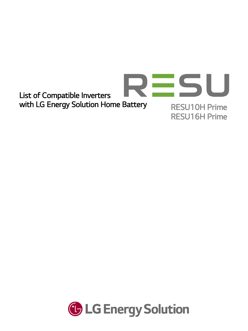

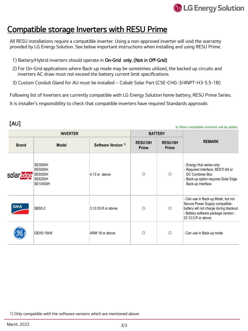

## Compatible storage Inverters with RESU Prime

All RESU installations require a compatible inverter. Using a non-approved inverter will void the warranty provided by LG Energy Solution. See below important instructions when installing and using RESU Prime.

- 1) Battery/Hybrid inverters should operate in On-Grid only. (Not in Off-Grid)
- 2) For On-Grid applications where Back-up mode may be sometimes utilized, the backed up circuits and inverters AC draw must not exceed the battery current limit specifications.
- 3) Custom Conduit Gland for AU must be installed Cobalt Solar Part (CSE-CHG-3/4NPT-H3-5.5-1B)

Following list of Inverters are currently compatible with LG Energy Solution home battery, RESU Prime Series. It is installer's responsibility to check that compatible inverters have required Standards approvals

## [AU]

## ※ More compatible inverters will be added.

| <b>INVERTER</b> |                                                                                  |                                | <b>BATTERY</b>                 |                                |                                                                                                                                                                              |
|-----------------|----------------------------------------------------------------------------------|--------------------------------|--------------------------------|--------------------------------|------------------------------------------------------------------------------------------------------------------------------------------------------------------------------|
| <b>Brand</b>    | <b>Model</b>                                                                     | Software Version <sup>1)</sup> | <b>RESU10H</b><br><b>Prime</b> | <b>RESU16H</b><br><b>Prime</b> | <b>REMARK</b>                                                                                                                                                                |
| solaredge       | <b>SE3000H</b><br><b>SE5000H</b><br><b>SE6000H</b><br><b>SE8250H</b><br>SE10000H | $ 4.13$ or above               | $\circ$                        | $\circ$                        | Energy Hub series only<br>Required Interface: SESTI-S4 or<br>DC Combiner Box<br>Back-up option requires Solar Edge<br>Back-up Interface                                      |
| <b>SMA</b>      | <b>SBS5.0</b>                                                                    | 3.12.03.R or above             | $\circ$                        | $\circ$                        | - Can use in Back-up Mode, but not<br>Secure Power Supply compatible-<br>battery will not charge during blackout<br>Battery software package version :<br>23.12.0.R or above |
|                 | GEH5-10kW                                                                        | ARM 18 or above                | $\circ$                        | $\circ$                        | - Can use in Back-up mode                                                                                                                                                    |

1) Only compatible with the software versions which are mentioned above.